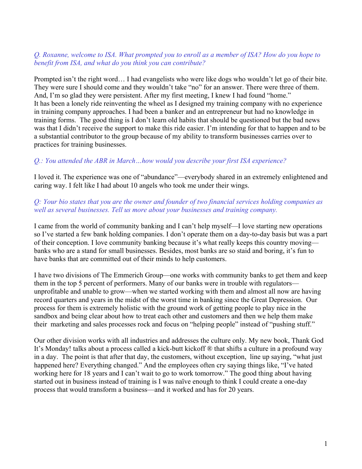## *Q. Roxanne, welcome to ISA. What prompted you to enroll as a member of ISA? How do you hope to benefit from ISA, and what do you think you can contribute?*

Prompted isn't the right word… I had evangelists who were like dogs who wouldn't let go of their bite. They were sure I should come and they wouldn't take "no" for an answer. There were three of them. And, I'm so glad they were persistent. After my first meeting, I knew I had found "home." It has been a lonely ride reinventing the wheel as I designed my training company with no experience in training company approaches. I had been a banker and an entrepreneur but had no knowledge in training forms. The good thing is I don't learn old habits that should be questioned but the bad news was that I didn't receive the support to make this ride easier. I'm intending for that to happen and to be a substantial contributor to the group because of my ability to transform businesses carries over to practices for training businesses.

## *Q.: You attended the ABR in March…how would you describe your first ISA experience?*

I loved it. The experience was one of "abundance"—everybody shared in an extremely enlightened and caring way. I felt like I had about 10 angels who took me under their wings.

## *Q: Your bio states that you are the owner and founder of two financial services holding companies as well as several businesses. Tell us more about your businesses and training company.*

I came from the world of community banking and I can't help myself—I love starting new operations so I've started a few bank holding companies. I don't operate them on a day-to-day basis but was a part of their conception. I love community banking because it's what really keeps this country moving banks who are a stand for small businesses. Besides, most banks are so staid and boring, it's fun to have banks that are committed out of their minds to help customers.

I have two divisions of The Emmerich Group—one works with community banks to get them and keep them in the top 5 percent of performers. Many of our banks were in trouble with regulators unprofitable and unable to grow—when we started working with them and almost all now are having record quarters and years in the midst of the worst time in banking since the Great Depression. Our process for them is extremely holistic with the ground work of getting people to play nice in the sandbox and being clear about how to treat each other and customers and then we help them make their marketing and sales processes rock and focus on "helping people" instead of "pushing stuff."

Our other division works with all industries and addresses the culture only. My new book, Thank God It's Monday! talks about a process called a kick-butt kickoff ® that shifts a culture in a profound way in a day. The point is that after that day, the customers, without exception, line up saying, "what just happened here? Everything changed." And the employees often cry saying things like, "I've hated working here for 18 years and I can't wait to go to work tomorrow." The good thing about having started out in business instead of training is I was naïve enough to think I could create a one-day process that would transform a business—and it worked and has for 20 years.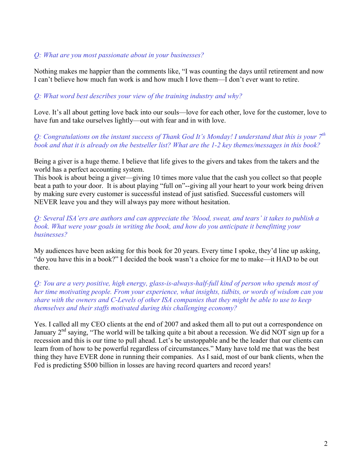# *Q: What are you most passionate about in your businesses?*

Nothing makes me happier than the comments like, "I was counting the days until retirement and now I can't believe how much fun work is and how much I love them—I don't ever want to retire.

# *Q: What word best describes your view of the training industry and why?*

Love. It's all about getting love back into our souls—love for each other, love for the customer, love to have fun and take ourselves lightly—out with fear and in with love.

*Q: Congratulations on the instant success of Thank God It's Monday! I understand that this is your 7th book and that it is already on the bestseller list? What are the 1-2 key themes/messages in this book?* 

Being a giver is a huge theme. I believe that life gives to the givers and takes from the takers and the world has a perfect accounting system.

This book is about being a giver—giving 10 times more value that the cash you collect so that people beat a path to your door. It is about playing "full on"--giving all your heart to your work being driven by making sure every customer is successful instead of just satisfied. Successful customers will NEVER leave you and they will always pay more without hesitation.

*Q: Several ISA'ers are authors and can appreciate the 'blood, sweat, and tears' it takes to publish a book. What were your goals in writing the book, and how do you anticipate it benefitting your businesses?* 

My audiences have been asking for this book for 20 years. Every time I spoke, they'd line up asking, "do you have this in a book?" I decided the book wasn't a choice for me to make—it HAD to be out there.

*Q: You are a very positive, high energy, glass-is-always-half-full kind of person who spends most of her time motivating people. From your experience, what insights, tidbits, or words of wisdom can you share with the owners and C-Levels of other ISA companies that they might be able to use to keep themselves and their staffs motivated during this challenging economy?* 

Yes. I called all my CEO clients at the end of 2007 and asked them all to put out a correspondence on January  $2<sup>nd</sup>$  saying, "The world will be talking quite a bit about a recession. We did NOT sign up for a recession and this is our time to pull ahead. Let's be unstoppable and be the leader that our clients can learn from of how to be powerful regardless of circumstances." Many have told me that was the best thing they have EVER done in running their companies. As I said, most of our bank clients, when the Fed is predicting \$500 billion in losses are having record quarters and record years!